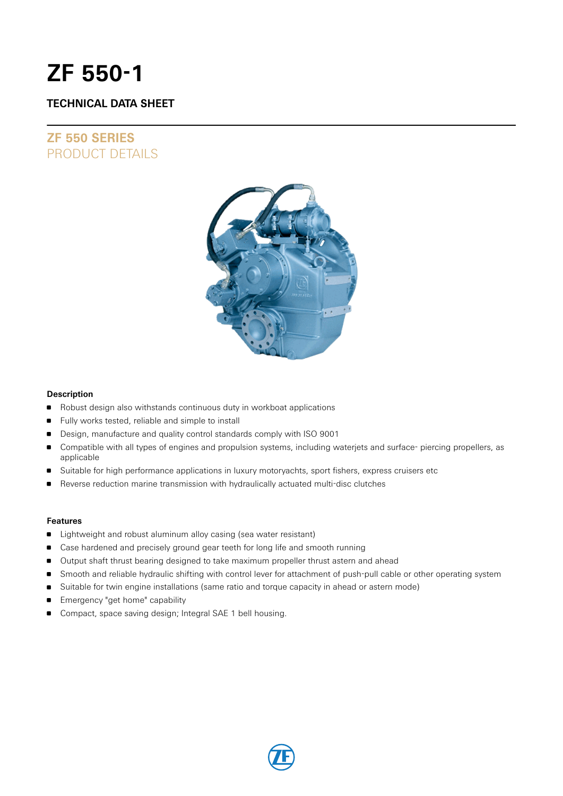# **ZF 550-1**

### **TECHNICAL DATA SHEET**

## **ZF 550 SERIES** PRODUCT DETAILS



### **Description**

- Robust design also withstands continuous duty in workboat applications
- **Fully works tested, reliable and simple to install**
- Design, manufacture and quality control standards comply with ISO 9001
- Compatible with all types of engines and propulsion systems, including waterjets and surface- piercing propellers, as applicable
- Suitable for high performance applications in luxury motoryachts, sport fishers, express cruisers etc
- Reverse reduction marine transmission with hydraulically actuated multi-disc clutches

### **Features**

- **EXTENDI** Lightweight and robust aluminum alloy casing (sea water resistant)
- **Case hardened and precisely ground gear teeth for long life and smooth running**
- Output shaft thrust bearing designed to take maximum propeller thrust astern and ahead
- **Smooth and reliable hydraulic shifting with control lever for attachment of push-pull cable or other operating system**
- **Suitable for twin engine installations (same ratio and torque capacity in ahead or astern mode)**
- Emergency "get home" capability
- Compact, space saving design; Integral SAE 1 bell housing.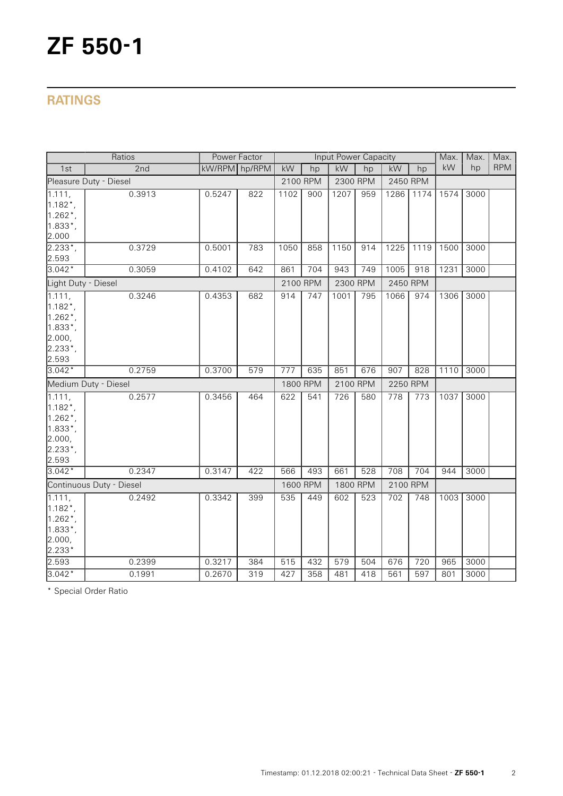# **RATINGS**

|                                                                                                                      | Ratios               | Power Factor                                |     | <b>Input Power Capacity</b> |     |          |            |                  |      | Max. | Max. | Max. |
|----------------------------------------------------------------------------------------------------------------------|----------------------|---------------------------------------------|-----|-----------------------------|-----|----------|------------|------------------|------|------|------|------|
| 1st                                                                                                                  | 2nd                  | kW/RPM hp/RPM<br>kW<br>kW<br>kW<br>hp<br>hp |     | hp                          | kW  | hp       | <b>RPM</b> |                  |      |      |      |      |
| Pleasure Duty - Diesel                                                                                               |                      |                                             |     | 2100 RPM                    |     | 2300 RPM |            | 2450 RPM         |      |      |      |      |
| 1.111,<br>$1.182$ <sup>*</sup> ,<br>$1.262$ *,<br>$1.833*$ ,<br>2.000                                                | 0.3913               | 0.5247                                      | 822 | 1102                        | 900 | 1207     | 959        | 1286             | 1174 | 1574 | 3000 |      |
| $2.233^{*}$ ,<br>2.593                                                                                               | 0.3729               | 0.5001                                      | 783 | 1050                        | 858 | 1150     | 914        | 1225             | 1119 | 1500 | 3000 |      |
| $3.042*$                                                                                                             | 0.3059               | 0.4102                                      | 642 | 861                         | 704 | 943      | 749        | 1005             | 918  | 1231 | 3000 |      |
| Light Duty - Diesel                                                                                                  |                      |                                             |     | 2100 RPM                    |     | 2300 RPM |            | 2450 RPM         |      |      |      |      |
| $\sqrt{1.111}$ ,<br>$1.182$ <sup>*</sup> ,<br>$1.262$ <sup>*</sup> ,<br>$1.833^{*}$ ,<br>2.000,<br>$2.233*$<br>2.593 | 0.3246               | 0.4353                                      | 682 | 914                         | 747 | 1001     | 795        | 1066             | 974  | 1306 | 3000 |      |
| $3.042*$                                                                                                             | 0.2759               | 0.3700                                      | 579 | 777                         | 635 | 851      | 676        | 907              | 828  | 1110 | 3000 |      |
|                                                                                                                      | Medium Duty - Diesel |                                             |     | 1800 RPM                    |     | 2100 RPM |            | 2250 RPM         |      |      |      |      |
| 1.111,<br>$1.182$ <sup>*</sup> ,<br>$1.262$ <sup>*</sup> ,<br>$1.833^{*}$ ,<br>2.000,<br>$2.233*$ ,<br>2.593         | 0.2577               | 0.3456                                      | 464 | 622                         | 541 | 726      | 580        | $\overline{778}$ | 773  | 1037 | 3000 |      |
| $3.042*$                                                                                                             | 0.2347               | 0.3147                                      | 422 | 566                         | 493 | 661      | 528        | 708              | 704  | 944  | 3000 |      |
| Continuous Duty - Diesel                                                                                             |                      |                                             |     | 1600 RPM                    |     | 1800 RPM |            | 2100 RPM         |      |      |      |      |
| 1.111,<br>$1.182$ <sup>*</sup> ,<br>$1.262$ <sup>*</sup> ,<br>$1.833*$ ,<br>2.000,<br>2.233*                         | 0.2492               | 0.3342                                      | 399 | 535                         | 449 | 602      | 523        | 702              | 748  | 1003 | 3000 |      |
| 2.593                                                                                                                | 0.2399               | 0.3217                                      | 384 | 515                         | 432 | 579      | 504        | 676              | 720  | 965  | 3000 |      |
| $3.042*$                                                                                                             | 0.1991               | 0.2670                                      | 319 | 427                         | 358 | 481      | 418        | 561              | 597  | 801  | 3000 |      |

\* Special Order Ratio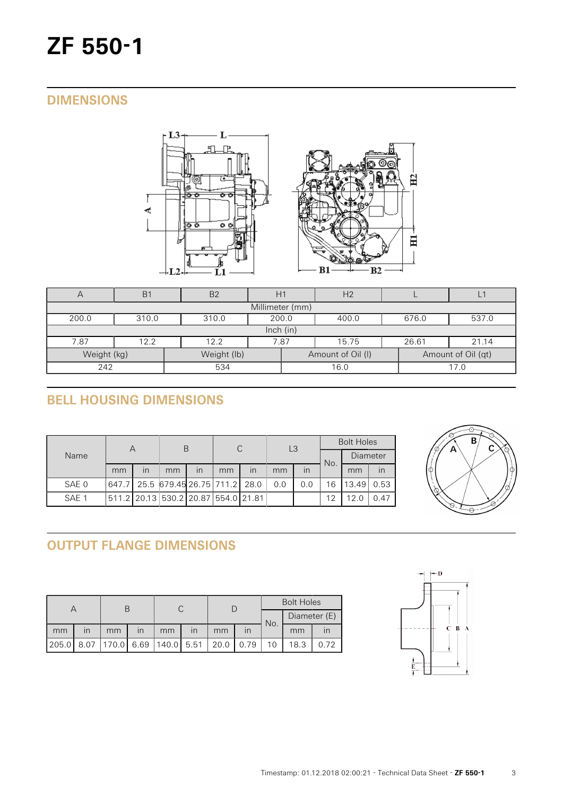# **ZF 550-1**

## **DIMENSIONS**



| $\forall$       | B <sub>1</sub>                                     | B <sub>2</sub>    |  |      | H <sub>2</sub> |                    |       |  |  |  |  |
|-----------------|----------------------------------------------------|-------------------|--|------|----------------|--------------------|-------|--|--|--|--|
| Millimeter (mm) |                                                    |                   |  |      |                |                    |       |  |  |  |  |
| 200.0           | 200.0<br>676.0<br>537.0<br>310.0<br>310.0<br>400.0 |                   |  |      |                |                    |       |  |  |  |  |
|                 | lnch (in)                                          |                   |  |      |                |                    |       |  |  |  |  |
| 7.87            | 12.2<br>12.2                                       |                   |  | 7.87 | 15.75          | 26.61              | 21.14 |  |  |  |  |
| Weight (kg)     | Weight (lb)                                        | Amount of Oil (I) |  |      |                | Amount of Oil (qt) |       |  |  |  |  |
| 242             |                                                    | 534               |  |      | 16.0           |                    | 17.0  |  |  |  |  |

# **BELL HOUSING DIMENSIONS**

|       | А                                   |                         | В  |                         | C  |    | L <sub>3</sub> |     | <b>Bolt Holes</b> |                 |      |  |
|-------|-------------------------------------|-------------------------|----|-------------------------|----|----|----------------|-----|-------------------|-----------------|------|--|
| Name  |                                     |                         |    |                         |    |    |                |     | No.               | Diameter        |      |  |
|       | mm                                  | $\overline{\mathsf{I}}$ | mm | $\overline{\mathsf{I}}$ | mm | in | mm             | in  |                   | mm              | in   |  |
| SAE 0 | 647.7 25.5 679.45 26.75 711.2 28.0  |                         |    |                         |    |    | 0.0            | 0.0 | 16                | 13.49           | 0.53 |  |
| SAE 1 | 511.2 20.13 530.2 20.87 554.0 21.81 |                         |    |                         |    |    |                |     | 12                | 12 <sub>c</sub> | 0.47 |  |



# **OUTPUT FLANGE DIMENSIONS**

|       |                         |                                    |                         |    |                         |      |      | <b>Bolt Holes</b> |              |      |  |
|-------|-------------------------|------------------------------------|-------------------------|----|-------------------------|------|------|-------------------|--------------|------|--|
|       |                         |                                    |                         |    |                         |      |      | No.               | Diameter (E) |      |  |
| mm    | $\mathsf{I} \mathsf{n}$ | mm                                 | $\overline{\mathsf{I}}$ | mm | $\overline{\mathsf{I}}$ | mm   |      |                   | mm           |      |  |
| 205.0 |                         | 8.07   170.0   6.69   140.0   5.51 |                         |    |                         | 20.0 | 0.79 |                   | 18.3         | 0.72 |  |